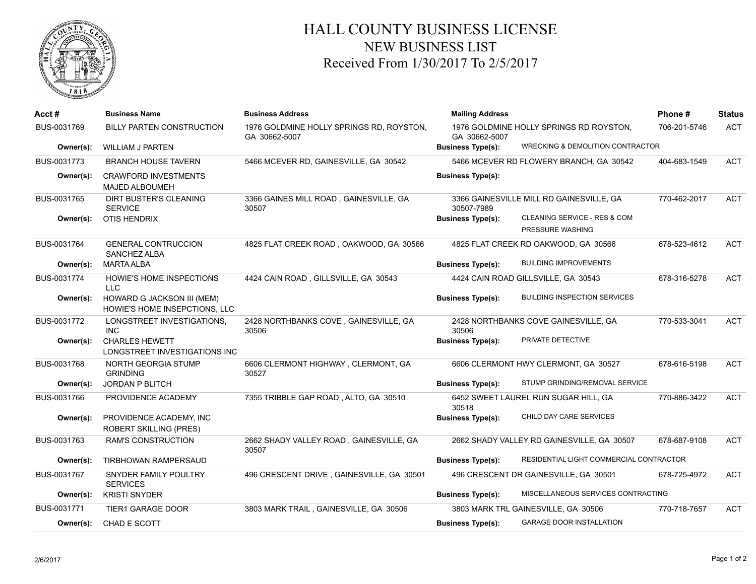

## HALL COUNTY BUSINESS LICENSE NEW BUSINESS LIST Received From 1/30/2017 To 2/5/2017

| Acct#       | <b>Business Name</b>                                        | <b>Business Address</b>                                   | <b>Mailing Address</b>                                                       | Phone#       | <b>Status</b> |
|-------------|-------------------------------------------------------------|-----------------------------------------------------------|------------------------------------------------------------------------------|--------------|---------------|
| BUS-0031769 | <b>BILLY PARTEN CONSTRUCTION</b>                            | 1976 GOLDMINE HOLLY SPRINGS RD, ROYSTON,<br>GA 30662-5007 | 1976 GOLDMINE HOLLY SPRINGS RD ROYSTON,<br>GA 30662-5007                     | 706-201-5746 | <b>ACT</b>    |
| Owner(s):   | <b>WILLIAM J PARTEN</b>                                     |                                                           | <b>WRECKING &amp; DEMOLITION CONTRACTOR</b><br><b>Business Type(s):</b>      |              |               |
| BUS-0031773 | <b>BRANCH HOUSE TAVERN</b>                                  | 5466 MCEVER RD, GAINESVILLE, GA 30542                     | 5466 MCEVER RD FLOWERY BRANCH, GA 30542                                      | 404-683-1549 | <b>ACT</b>    |
| Owner(s):   | <b>CRAWFORD INVESTMENTS</b><br>MAJED ALBOUMEH               |                                                           | <b>Business Type(s):</b>                                                     |              |               |
| BUS-0031765 | <b>DIRT BUSTER'S CLEANING</b><br><b>SERVICE</b>             | 3366 GAINES MILL ROAD, GAINESVILLE, GA<br>30507           | 3366 GAINESVILLE MILL RD GAINESVILLE, GA<br>30507-7989                       | 770-462-2017 | <b>ACT</b>    |
| Owner(s):   | <b>OTIS HENDRIX</b>                                         |                                                           | CLEANING SERVICE - RES & COM<br><b>Business Type(s):</b><br>PRESSURE WASHING |              |               |
| BUS-0031764 | <b>GENERAL CONTRUCCION</b><br><b>SANCHEZ ALBA</b>           | 4825 FLAT CREEK ROAD, OAKWOOD, GA 30566                   | 4825 FLAT CREEK RD OAKWOOD, GA 30566                                         | 678-523-4612 | <b>ACT</b>    |
| Owner(s):   | <b>MARTA ALBA</b>                                           |                                                           | <b>BUILDING IMPROVEMENTS</b><br><b>Business Type(s):</b>                     |              |               |
| BUS-0031774 | HOWIE'S HOME INSPECTIONS<br><b>LLC</b>                      | 4424 CAIN ROAD, GILLSVILLE, GA 30543                      | 4424 CAIN ROAD GILLSVILLE, GA 30543                                          | 678-316-5278 | <b>ACT</b>    |
| Owner(s):   | HOWARD G JACKSON III (MEM)<br>HOWIE'S HOME INSEPCTIONS, LLC |                                                           | <b>BUILDING INSPECTION SERVICES</b><br><b>Business Type(s):</b>              |              |               |
| BUS-0031772 | LONGSTREET INVESTIGATIONS.<br><b>INC</b>                    | 2428 NORTHBANKS COVE, GAINESVILLE, GA<br>30506            | 2428 NORTHBANKS COVE GAINESVILLE, GA<br>30506                                | 770-533-3041 | <b>ACT</b>    |
| Owner(s):   | <b>CHARLES HEWETT</b><br>LONGSTREET INVESTIGATIONS INC      |                                                           | PRIVATE DETECTIVE<br><b>Business Type(s):</b>                                |              |               |
| BUS-0031768 | NORTH GEORGIA STUMP<br><b>GRINDING</b>                      | 6606 CLERMONT HIGHWAY, CLERMONT, GA<br>30527              | 6606 CLERMONT HWY CLERMONT, GA 30527                                         | 678-616-5198 | <b>ACT</b>    |
| Owner(s):   | <b>JORDAN P BLITCH</b>                                      |                                                           | STUMP GRINDING/REMOVAL SERVICE<br><b>Business Type(s):</b>                   |              |               |
| BUS-0031766 | PROVIDENCE ACADEMY                                          | 7355 TRIBBLE GAP ROAD, ALTO, GA 30510                     | 6452 SWEET LAUREL RUN SUGAR HILL, GA<br>30518                                | 770-886-3422 | <b>ACT</b>    |
| Owner(s):   | PROVIDENCE ACADEMY, INC.<br><b>ROBERT SKILLING (PRES)</b>   |                                                           | CHILD DAY CARE SERVICES<br><b>Business Type(s):</b>                          |              |               |
| BUS-0031763 | <b>RAM'S CONSTRUCTION</b>                                   | 2662 SHADY VALLEY ROAD, GAINESVILLE, GA<br>30507          | 2662 SHADY VALLEY RD GAINESVILLE, GA 30507                                   | 678-687-9108 | <b>ACT</b>    |
| Owner(s):   | TIRBHOWAN RAMPERSAUD                                        |                                                           | RESIDENTIAL LIGHT COMMERCIAL CONTRACTOR<br><b>Business Type(s):</b>          |              |               |
| BUS-0031767 | SNYDER FAMILY POULTRY<br><b>SERVICES</b>                    | 496 CRESCENT DRIVE, GAINESVILLE, GA 30501                 | 496 CRESCENT DR GAINESVILLE, GA 30501                                        | 678-725-4972 | <b>ACT</b>    |
| Owner(s):   | <b>KRISTI SNYDER</b>                                        |                                                           | MISCELLANEOUS SERVICES CONTRACTING<br><b>Business Type(s):</b>               |              |               |
| BUS-0031771 | <b>TIER1 GARAGE DOOR</b>                                    | 3803 MARK TRAIL, GAINESVILLE, GA 30506                    | 3803 MARK TRL GAINESVILLE, GA 30506                                          | 770-718-7657 | <b>ACT</b>    |
| Owner(s):   | CHAD E SCOTT                                                |                                                           | <b>GARAGE DOOR INSTALLATION</b><br><b>Business Type(s):</b>                  |              |               |